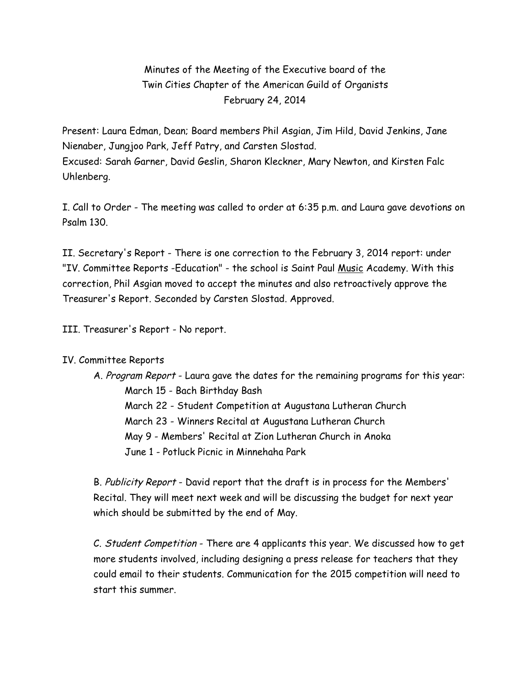## Minutes of the Meeting of the Executive board of the Twin Cities Chapter of the American Guild of Organists February 24, 2014

Present: Laura Edman, Dean; Board members Phil Asgian, Jim Hild, David Jenkins, Jane Nienaber, Jungjoo Park, Jeff Patry, and Carsten Slostad. Excused: Sarah Garner, David Geslin, Sharon Kleckner, Mary Newton, and Kirsten Falc Uhlenberg.

I. Call to Order - The meeting was called to order at 6:35 p.m. and Laura gave devotions on Psalm 130.

II. Secretary's Report - There is one correction to the February 3, 2014 report: under "IV. Committee Reports -Education" - the school is Saint Paul Music Academy. With this correction, Phil Asgian moved to accept the minutes and also retroactively approve the Treasurer's Report. Seconded by Carsten Slostad. Approved.

III. Treasurer's Report - No report.

## IV. Committee Reports

A. Program Report - Laura gave the dates for the remaining programs for this year: March 15 - Bach Birthday Bash March 22 - Student Competition at Augustana Lutheran Church March 23 - Winners Recital at Augustana Lutheran Church May 9 - Members' Recital at Zion Lutheran Church in Anoka June 1 - Potluck Picnic in Minnehaha Park

B. Publicity Report - David report that the draft is in process for the Members' Recital. They will meet next week and will be discussing the budget for next year which should be submitted by the end of May.

C. Student Competition - There are 4 applicants this year. We discussed how to get more students involved, including designing a press release for teachers that they could email to their students. Communication for the 2015 competition will need to start this summer.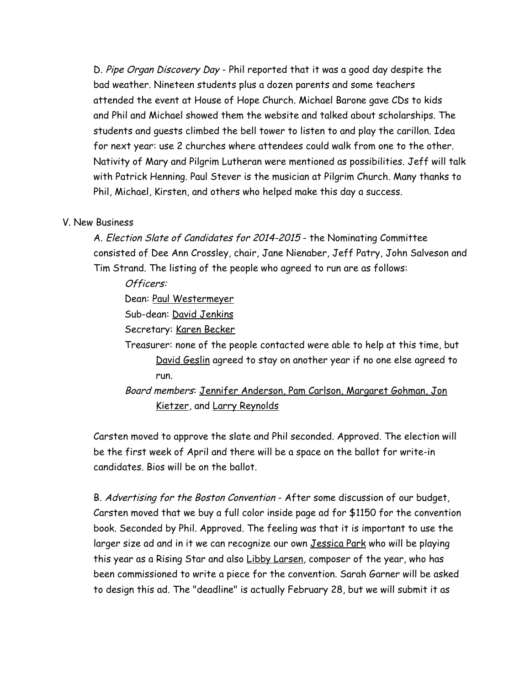D. Pipe Organ Discovery Day - Phil reported that it was a good day despite the bad weather. Nineteen students plus a dozen parents and some teachers attended the event at House of Hope Church. Michael Barone gave CDs to kids and Phil and Michael showed them the website and talked about scholarships. The students and guests climbed the bell tower to listen to and play the carillon. Idea for next year: use 2 churches where attendees could walk from one to the other. Nativity of Mary and Pilgrim Lutheran were mentioned as possibilities. Jeff will talk with Patrick Henning. Paul Stever is the musician at Pilgrim Church. Many thanks to Phil, Michael, Kirsten, and others who helped make this day a success.

## V. New Business

A. Election Slate of Candidates for 2014-2015 - the Nominating Committee consisted of Dee Ann Crossley, chair, Jane Nienaber, Jeff Patry, John Salveson and Tim Strand. The listing of the people who agreed to run are as follows:

Officers:

Dean: Paul Westermeyer

Sub-dean: David Jenkins

Secretary: Karen Becker

Treasurer: none of the people contacted were able to help at this time, but David Geslin agreed to stay on another year if no one else agreed to run.

Board members: Jennifer Anderson, Pam Carlson, Margaret Gohman, Jon Kietzer, and Larry Reynolds

Carsten moved to approve the slate and Phil seconded. Approved. The election will be the first week of April and there will be a space on the ballot for write-in candidates. Bios will be on the ballot.

B. Advertising for the Boston Convention - After some discussion of our budget, Carsten moved that we buy a full color inside page ad for \$1150 for the convention book. Seconded by Phil. Approved. The feeling was that it is important to use the larger size ad and in it we can recognize our own Jessica Park who will be playing this year as a Rising Star and also Libby Larsen, composer of the year, who has been commissioned to write a piece for the convention. Sarah Garner will be asked to design this ad. The "deadline" is actually February 28, but we will submit it as